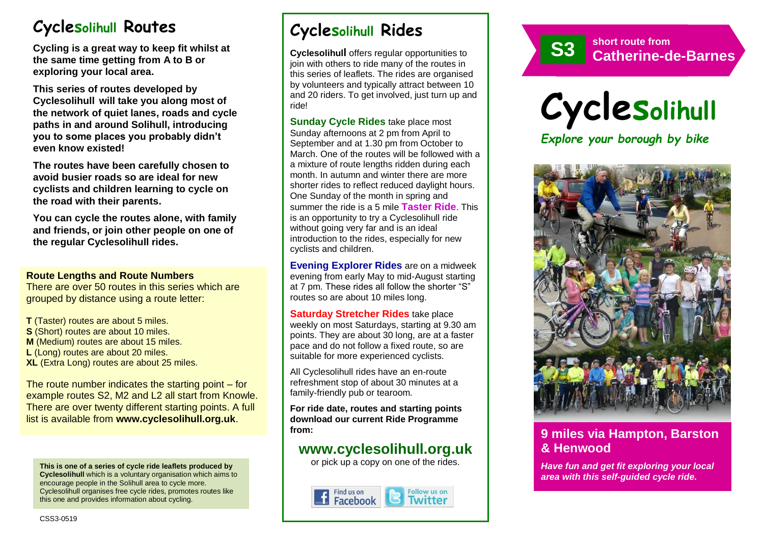# **Cyclesolihull Routes**

**Cycling is a great way to keep fit whilst at the same time getting from A to B or exploring your local area.** 

**This series of routes developed by Cyclesolihull will take you along most of the network of quiet lanes, roads and cycle paths in and around Solihull, introducing you to some places you probably didn't even know existed!**

**The routes have been carefully chosen to avoid busier roads so are ideal for new cyclists and children learning to cycle on the road with their parents.** 

**You can cycle the routes alone, with family and friends, or join other people on one of the regular Cyclesolihull rides.**

#### **Route Lengths and Route Numbers**

There are over 50 routes in this series which are grouped by distance using a route letter:

**T** (Taster) routes are about 5 miles. **S** (Short) routes are about 10 miles. **M** (Medium) routes are about 15 miles. **L** (Long) routes are about 20 miles. **XL** (Extra Long) routes are about 25 miles.

The route number indicates the starting point – for example routes S2, M2 and L2 all start from Knowle. There are over twenty different starting points. A full list is available from **www.cyclesolihull.org.uk**.

**This is one of a series of cycle ride leaflets produced by Cyclesolihull** which is a voluntary organisation which aims to encourage people in the Solihull area to cycle more. Cyclesolihull organises free cycle rides, promotes routes like this one and provides information about cycling.

# **Cyclesolihull Rides**

**Cyclesolihull** offers regular opportunities to join with others to ride many of the routes in this series of leaflets. The rides are organised by volunteers and typically attract between 10 and 20 riders. To get involved, just turn up and ride!

**Sunday Cycle Rides** take place most Sunday afternoons at 2 pm from April to September and at 1.30 pm from October to March. One of the routes will be followed with a a mixture of route lengths ridden during each month. In autumn and winter there are more shorter rides to reflect reduced daylight hours. One Sunday of the month in spring and summer the ride is a 5 mile **Taster Ride**. This is an opportunity to try a Cyclesolihull ride without going very far and is an ideal introduction to the rides, especially for new cyclists and children.

**Evening Explorer Rides** are on a midweek evening from early May to mid-August starting at 7 pm. These rides all follow the shorter "S" routes so are about 10 miles long.

**Saturday Stretcher Rides** take place weekly on most Saturdays, starting at 9.30 am points. They are about 30 long, are at a faster pace and do not follow a fixed route, so are suitable for more experienced cyclists.

All Cyclesolihull rides have an en-route refreshment stop of about 30 minutes at a family-friendly pub or tearoom.

**For ride date, routes and starting points download our current Ride Programme from:** 

## **www.cyclesolihull.org.uk**

or pick up a copy on one of the rides.









### **9 miles via Hampton, Barston & Henwood**

*Have fun and get fit exploring your local area with this self-guided cycle ride.*